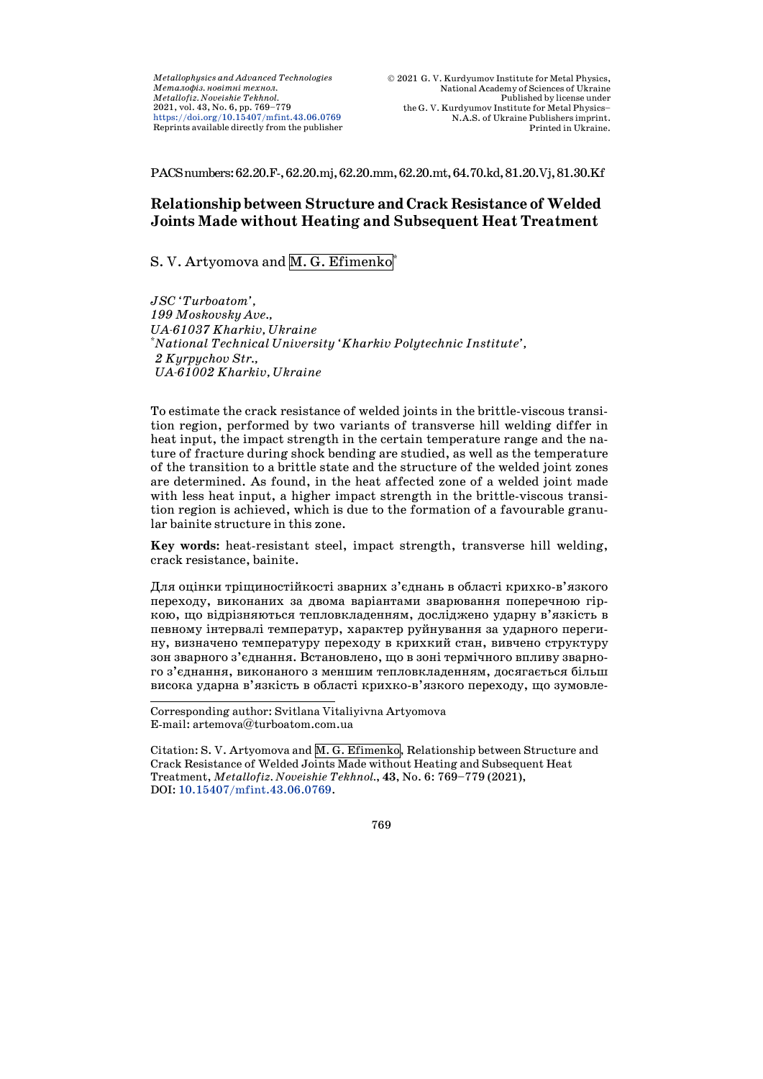*Metallophysics and Advanced Technologies Ìåòàëîôіç. íîâіòíі òåõíîë. Metallofiz. Noveishie Tekhnol.* 2021, vol. 43, No. 6, pp. 769–779 <https://doi.org/10.15407/mfint.43.06.0769> Reprints available directly from the publisher

PACSnumbers:62.20.F-,62.20.mj,62.20.mm,62.20.mt,64.70.kd,81.20.Vj,81.30.Kf

# **Relationship between Structure and Crack Resistance ofWelded Joints Made without Heating and Subsequent Heat Treatment**

# S. V. Artyomova and M. G. Efimenko

*JSC 'Turboatom', 199 Moskovsky Ave., UA-61037 Kharkiv, Ukraine* \* *National Technical University 'Kharkiv Polytechnic Institute', 2 Kyrpychov Str., UA-61002 Kharkiv, Ukraine*

To estimate the crack resistance of welded joints in the brittle-viscous transition region, performed by two variants of transverse hill welding differ in heat input, the impact strength in the certain temperature range and the nature of fracture during shock bending are studied, as well as the temperature of the transition to a brittle state and the structure of the welded joint zones are determined. As found, in the heat affected zone of a welded joint made with less heat input, a higher impact strength in the brittle-viscous transition region is achieved, which is due to the formation of a favourable granular bainite structure in this zone.

**Key words:** heat-resistant steel, impact strength, transverse hill welding, crack resistance, bainite.

Для оцінки тріщиностійкості зварних з'єднань в області крихко-в'язкого переходу, виконаних за двома варіантами зварювання поперечною гіркою, що відрізняються тепловкладенням, досліджено ударну в'язкість в певному інтервалі температур, характер руйнування за ударного перегину, визначено температуру переходу в крихкий стан, вивчено структуру зон зварного з'єднання. Встановлено, що в зоні термічного впливу зварного з'єднання, виконаного з меншим тепловкладенням, досягається більш висока ударна в'язкість в області крихко-в'язкого переходу, що зумовле-

Corresponding author: Svitlana Vitaliyivna Artyomova E-mail: artemova@turboatom.com.ua

j

Citation: S. V. Artyomova and  $\overline{M}$ . G. Efimenko, Relationship between Structure and Crack Resistance of Welded Joints Made without Heating and Subsequent Heat Treatment, *Metallofiz. Noveishie Tekhnol.*, **43**, No. 6: 769–779 (2021), DOI: [10.15407/mfint.43.06.0769.](https://doi.org/10.15407/mfint.43.06.0769)

769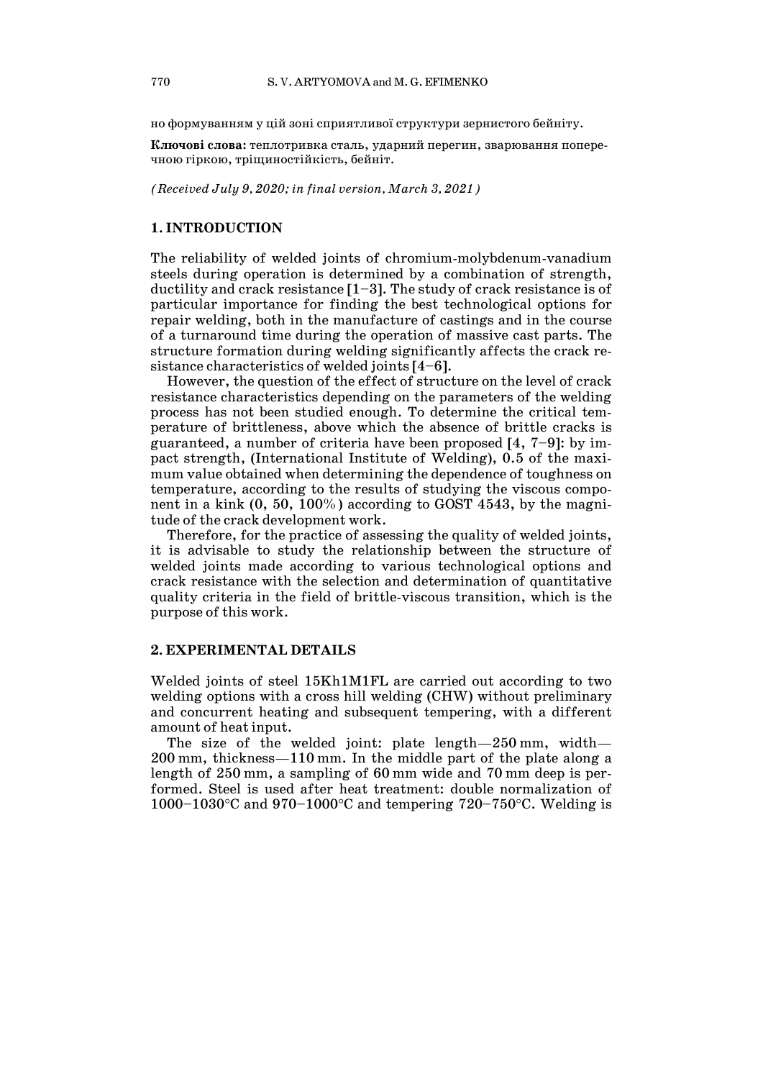но формуванням у цій зоні сприятливої структури зернистого бейніту.

**Ключові слова:** теплотривка сталь, ударний перегин, зварювання поперечною гіркою, тріщиностійкість, бейніт.

*(Received July 9, 2020; in final version, March 3, 2021)*

#### **1. INTRODUCTION**

The reliability of welded joints of chromium-molybdenum-vanadium steels during operation is determined by a combination of strength, ductility and crack resistance [1–3]. The study of crack resistance is of particular importance for finding the best technological options for repair welding, both in the manufacture of castings and in the course of a turnaround time during the operation of massive cast parts. The structure formation during welding significantly affects the crack resistance characteristics of welded joints [4–6].

However, the question of the effect of structure on the level of crack resistance characteristics depending on the parameters of the welding process has not been studied enough. To determine the critical temperature of brittleness, above which the absence of brittle cracks is guaranteed, a number of criteria have been proposed [4, 7–9]: by impact strength, (International Institute of Welding), 0.5 of the maximum value obtained when determining the dependence of toughness on temperature, according to the results of studying the viscous component in a kink (0, 50, 100%) according to GOST 4543, by the magnitude of the crack development work.

Therefore, for the practice of assessing the quality of welded joints, it is advisable to study the relationship between the structure of welded joints made according to various technological options and crack resistance with the selection and determination of quantitative quality criteria in the field of brittle-viscous transition, which is the purpose of this work.

# **2. EXPERIMENTAL DETAILS**

Welded joints of steel 15Kh1M1FL are carried out according to two welding options with a cross hill welding (CHW) without preliminary and concurrent heating and subsequent tempering, with a different amount of heat input.

The size of the welded joint: plate length—250 mm, width— 200 mm, thickness—110 mm. In the middle part of the plate along a length of 250 mm, a sampling of 60 mm wide and 70 mm deep is performed. Steel is used after heat treatment: double normalization of 1000–1030°С and 970–1000°С and tempering 720–750°С. Welding is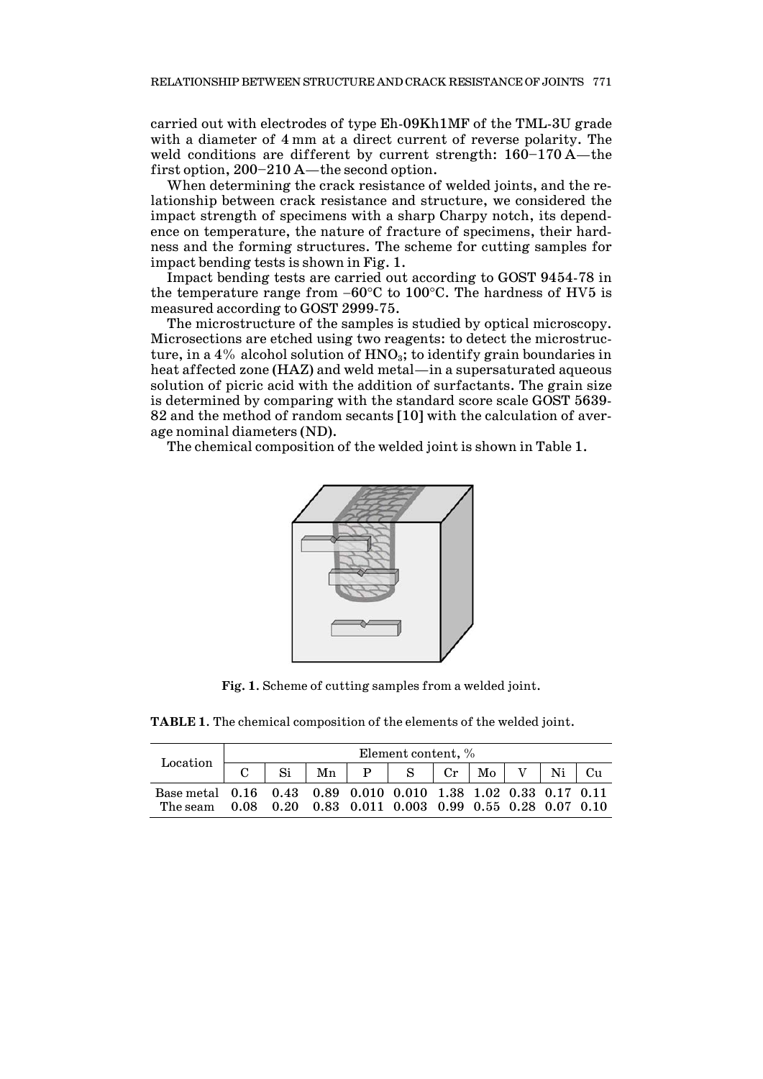carried out with electrodes of type Eh-09Kh1MF of the TML-3U grade with a diameter of 4 mm at a direct current of reverse polarity. The weld conditions are different by current strength: 160–170 A—the first option, 200–210 A—the second option.

When determining the crack resistance of welded joints, and the relationship between crack resistance and structure, we considered the impact strength of specimens with a sharp Charpy notch, its dependence on temperature, the nature of fracture of specimens, their hardness and the forming structures. The scheme for cutting samples for impact bending tests is shown in Fig. 1.

Impact bending tests are carried out according to GOST 9454-78 in the temperature range from −60°С to 100°С. The hardness of HV5 is measured according to GOST 2999-75.

The microstructure of the samples is studied by optical microscopy. Microsections are etched using two reagents: to detect the microstructure, in a 4% alcohol solution of  $HNO<sub>3</sub>$ ; to identify grain boundaries in heat affected zone (HAZ) and weld metal—in a supersaturated aqueous solution of picric acid with the addition of surfactants. The grain size is determined by comparing with the standard score scale GOST 5639- 82 and the method of random secants [10] with the calculation of average nominal diameters (ND).

The chemical composition of the welded joint is shown in Table 1.



**Fig. 1**. Scheme of cutting samples from a welded joint.

**TABLE 1**. The chemical composition of the elements of the welded joint.

| Location                                                       | Element content, % |  |  |  |                                                       |  |  |  |  |  |
|----------------------------------------------------------------|--------------------|--|--|--|-------------------------------------------------------|--|--|--|--|--|
|                                                                |                    |  |  |  | $Si$   Mn   P   S   Cr   Mo   V   Ni   Cu             |  |  |  |  |  |
| Base metal 0.16 0.43 0.89 0.010 0.010 1.38 1.02 0.33 0.17 0.11 |                    |  |  |  |                                                       |  |  |  |  |  |
| The seam                                                       |                    |  |  |  | $0.08$ 0.20 0.83 0.011 0.003 0.99 0.55 0.28 0.07 0.10 |  |  |  |  |  |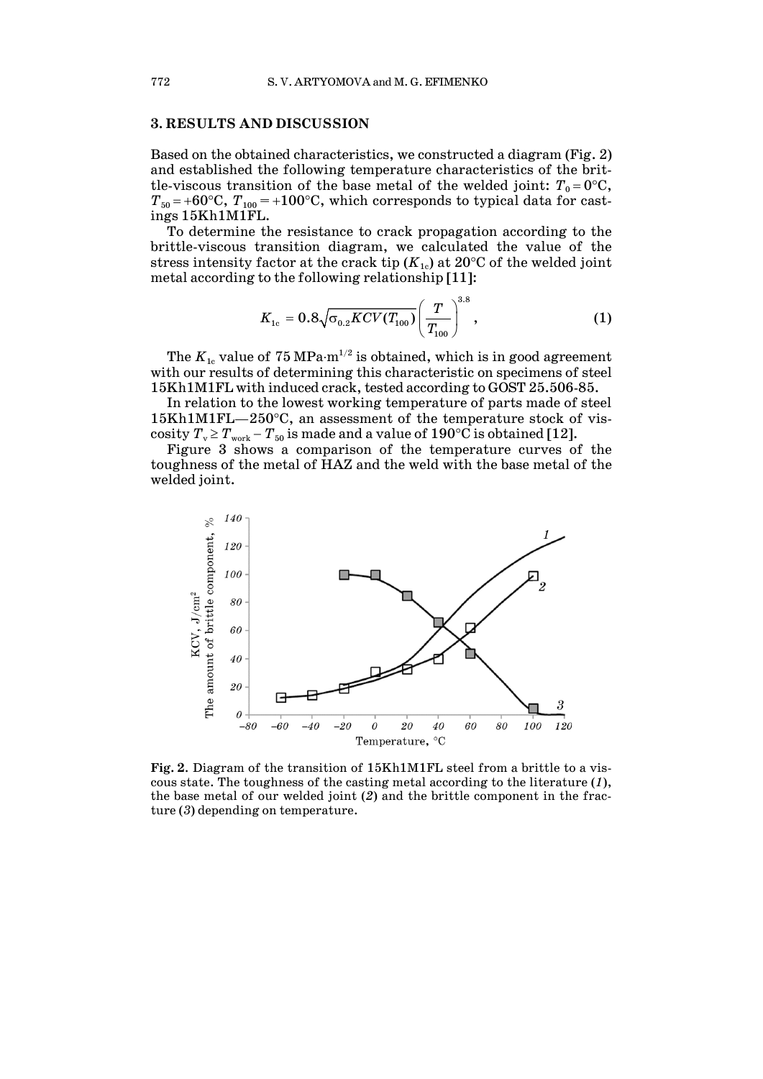# **3. RESULTS AND DISCUSSION**

Based on the obtained characteristics, we constructed a diagram (Fig. 2) and established the following temperature characteristics of the brittle-viscous transition of the base metal of the welded joint:  $T_0 = 0$ °C,  $T_{50}$  = +60°C,  $T_{100}$  = +100°C, which corresponds to typical data for castings 15Kh1M1FL.

To determine the resistance to crack propagation according to the brittle-viscous transition diagram, we calculated the value of the stress intensity factor at the crack tip  $(K_{1c})$  at 20 $\degree$ C of the welded joint metal according to the following relationship [11]:

$$
K_{1c} = 0.8\sqrt{\sigma_{0.2} KCV(T_{100})} \left(\frac{T}{T_{100}}\right)^{3.8}, \qquad (1)
$$

The  $K_{\rm 1c}$  value of  $75\, \rm MPa\cdot m^{1/2}$  is obtained, which is in good agreement with our results of determining this characteristic on specimens of steel 15Kh1M1FL with induced crack, tested according to GOST 25.506-85.

In relation to the lowest working temperature of parts made of steel 15Kh1M1FL—250°С, an assessment of the temperature stock of vis- $\mathrm{cosity}~T_\mathrm{v} \!\geq\! T_\mathrm{work} \!- \!T_\mathrm{50}$  is made and a value of  $190^\circ\mathrm{C}$  is obtained [12].

Figure 3 shows a comparison of the temperature curves of the toughness of the metal of HAZ and the weld with the base metal of the welded joint.



**Fig. 2**. Diagram of the transition of 15Kh1M1FL steel from a brittle to a viscous state. The toughness of the casting metal according to the literature (*1*), the base metal of our welded joint (*2*) and the brittle component in the fracture (*3*) depending on temperature.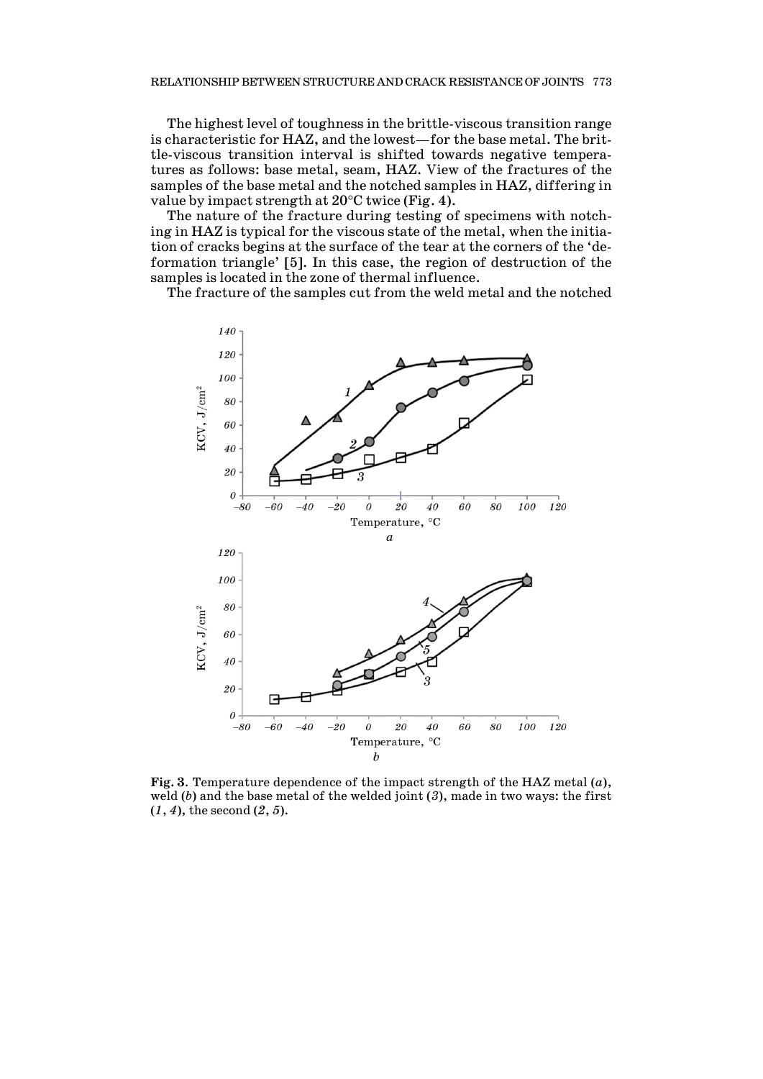The highest level of toughness in the brittle-viscous transition range is characteristic for HAZ, and the lowest—for the base metal. The brittle-viscous transition interval is shifted towards negative temperatures as follows: base metal, seam, HAZ. View of the fractures of the samples of the base metal and the notched samples in HAZ, differing in value by impact strength at 20°С twice (Fig. 4).

The nature of the fracture during testing of specimens with notching in HAZ is typical for the viscous state of the metal, when the initiation of cracks begins at the surface of the tear at the corners of the 'deformation triangle' [5]. In this case, the region of destruction of the samples is located in the zone of thermal influence.

The fracture of the samples cut from the weld metal and the notched



**Fig. 3**. Temperature dependence of the impact strength of the HAZ metal (*a*), weld (*b*) and the base metal of the welded joint (*3*), made in two ways: the first (*1*, *4*), the second (*2*, *5*).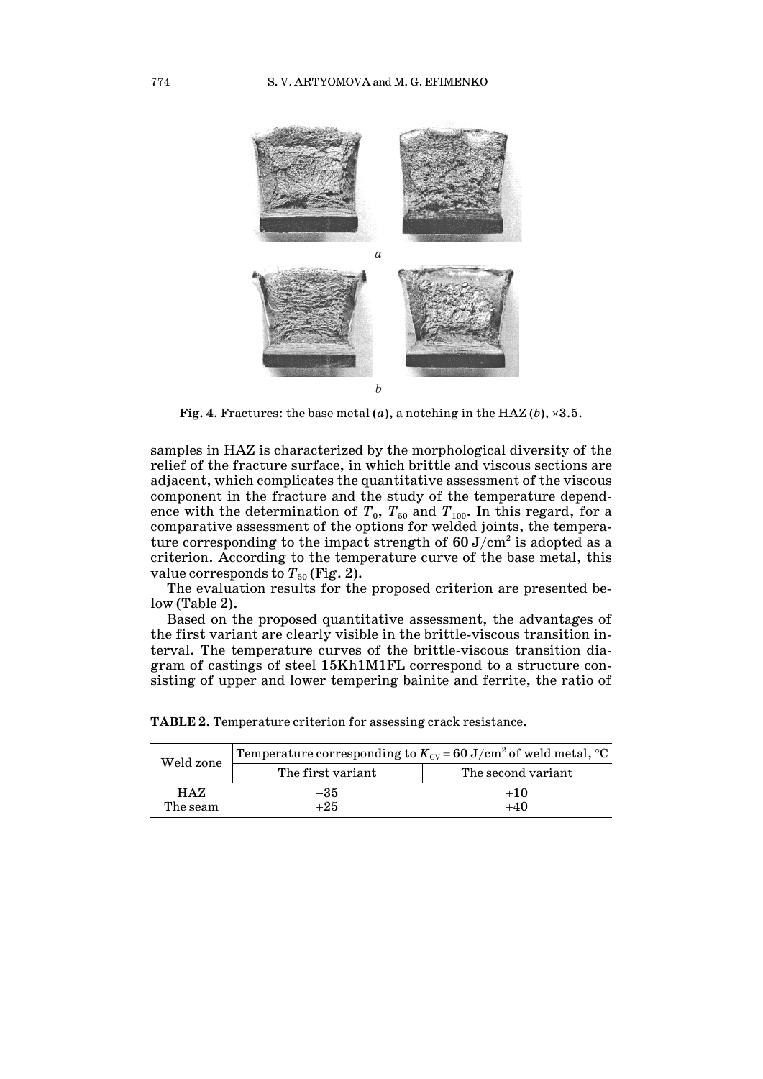

**Fig. 4.** Fractures: the base metal  $(a)$ , a notching in the HAZ  $(b)$ ,  $\times 3.5$ .

samples in HAZ is characterized by the morphological diversity of the relief of the fracture surface, in which brittle and viscous sections are adjacent, which complicates the quantitative assessment of the viscous component in the fracture and the study of the temperature dependence with the determination of  $T_0$ ,  $T_{50}$  and  $T_{100}$ . In this regard, for a comparative assessment of the options for welded joints, the temperature corresponding to the impact strength of  $60 \text{ J/cm}^2$  is adopted as a criterion. According to the temperature curve of the base metal, this value corresponds to  $T_{50}$  (Fig. 2).

The evaluation results for the proposed criterion are presented below (Table 2).

Based on the proposed quantitative assessment, the advantages of the first variant are clearly visible in the brittle-viscous transition interval. The temperature curves of the brittle-viscous transition diagram of castings of steel 15Kh1M1FL correspond to a structure consisting of upper and lower tempering bainite and ferrite, the ratio of

| Weld zone        | Temperature corresponding to $K_{\mathrm{cv}}$ = 60 J/cm $^2$ of weld metal, $^{\circ}\mathrm{C}$ |                    |  |  |  |  |
|------------------|---------------------------------------------------------------------------------------------------|--------------------|--|--|--|--|
|                  | The first variant                                                                                 | The second variant |  |  |  |  |
| HAZ.<br>The seam | -35<br>$+25$                                                                                      | $+10$<br>$+40$     |  |  |  |  |

**TABLE 2**. Temperature criterion for assessing crack resistance.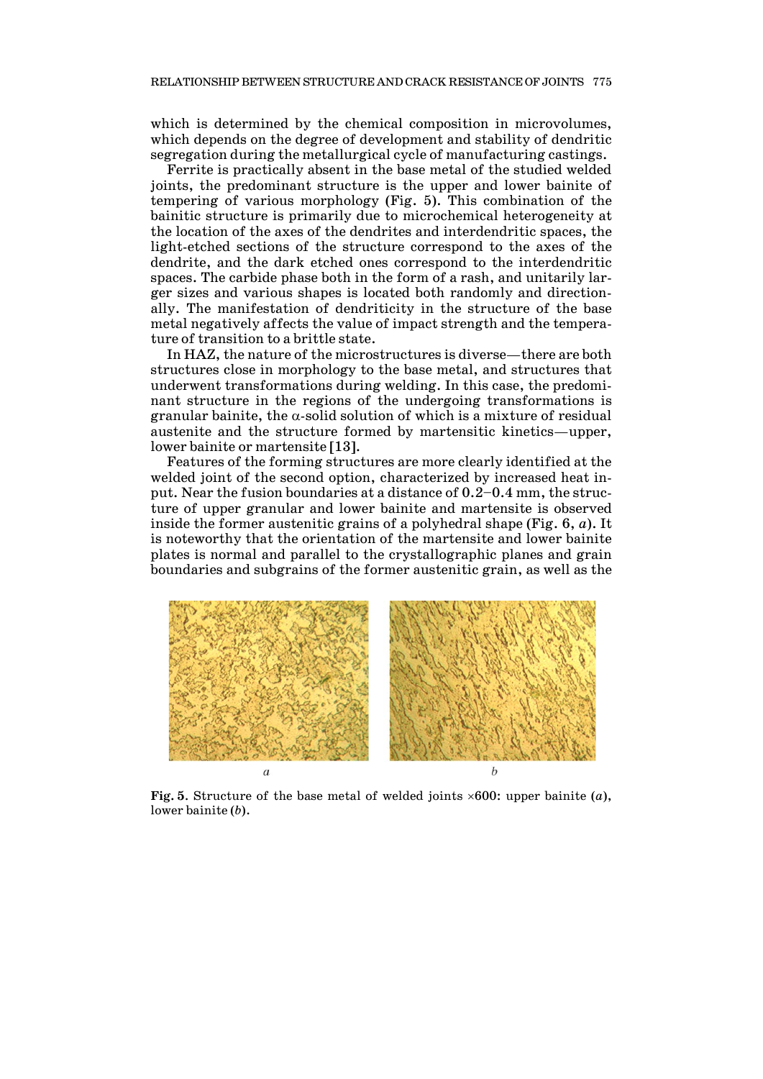which is determined by the chemical composition in microvolumes, which depends on the degree of development and stability of dendritic segregation during the metallurgical cycle of manufacturing castings.

Ferrite is practically absent in the base metal of the studied welded joints, the predominant structure is the upper and lower bainite of tempering of various morphology (Fig. 5). This combination of the bainitic structure is primarily due to microchemical heterogeneity at the location of the axes of the dendrites and interdendritic spaces, the light-etched sections of the structure correspond to the axes of the dendrite, and the dark etched ones correspond to the interdendritic spaces. The carbide phase both in the form of a rash, and unitarily larger sizes and various shapes is located both randomly and directionally. The manifestation of dendriticity in the structure of the base metal negatively affects the value of impact strength and the temperature of transition to a brittle state.

In HAZ, the nature of the microstructures is diverse—there are both structures close in morphology to the base metal, and structures that underwent transformations during welding. In this case, the predominant structure in the regions of the undergoing transformations is granular bainite, the  $\alpha$ -solid solution of which is a mixture of residual austenite and the structure formed by martensitic kinetics—upper, lower bainite or martensite [13].

Features of the forming structures are more clearly identified at the welded joint of the second option, characterized by increased heat input. Near the fusion boundaries at a distance of 0.2–0.4 mm, the structure of upper granular and lower bainite and martensite is observed inside the former austenitic grains of a polyhedral shape (Fig. 6, *a*). It is noteworthy that the orientation of the martensite and lower bainite plates is normal and parallel to the crystallographic planes and grain boundaries and subgrains of the former austenitic grain, as well as the



**Fig. 5**. Structure of the base metal of welded joints ×600: upper bainite (*a*), lower bainite (*b*).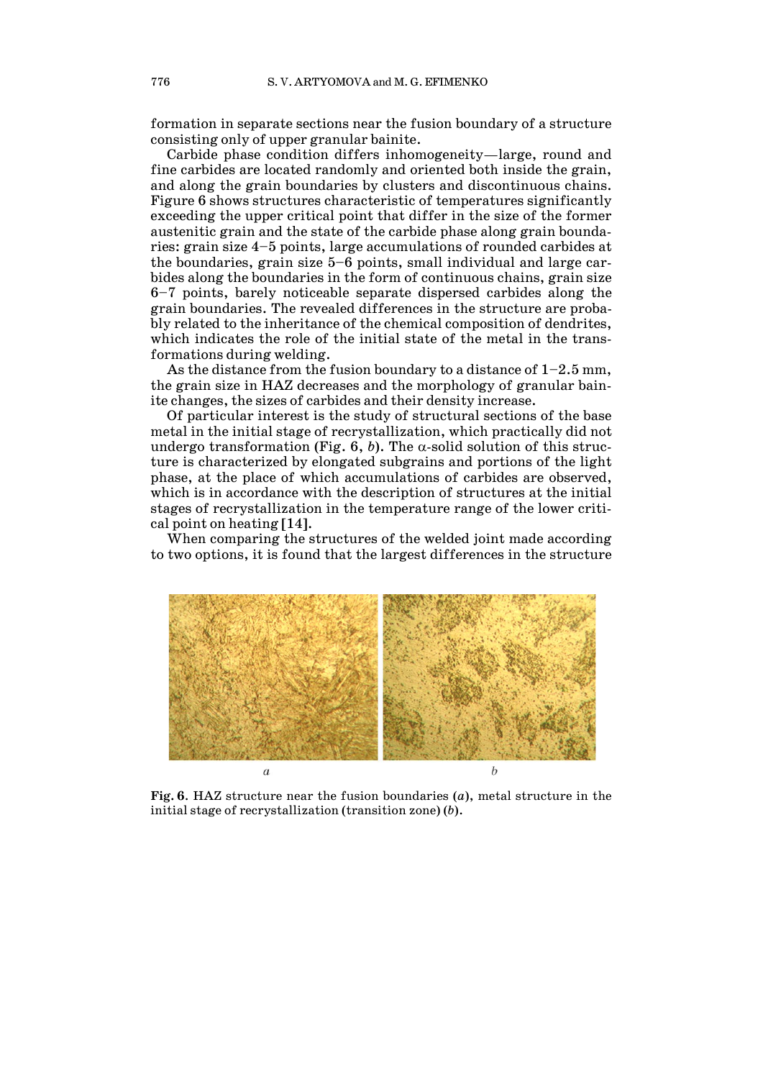formation in separate sections near the fusion boundary of a structure consisting only of upper granular bainite.

Carbide phase condition differs inhomogeneity—large, round and fine carbides are located randomly and oriented both inside the grain, and along the grain boundaries by clusters and discontinuous chains. Figure 6 shows structures characteristic of temperatures significantly exceeding the upper critical point that differ in the size of the former austenitic grain and the state of the carbide phase along grain boundaries: grain size 4–5 points, large accumulations of rounded carbides at the boundaries, grain size 5–6 points, small individual and large carbides along the boundaries in the form of continuous chains, grain size 6–7 points, barely noticeable separate dispersed carbides along the grain boundaries. The revealed differences in the structure are probably related to the inheritance of the chemical composition of dendrites, which indicates the role of the initial state of the metal in the transformations during welding.

As the distance from the fusion boundary to a distance of  $1-2.5$  mm, the grain size in HAZ decreases and the morphology of granular bainite changes, the sizes of carbides and their density increase.

Of particular interest is the study of structural sections of the base metal in the initial stage of recrystallization, which practically did not undergo transformation (Fig. 6, b). The  $\alpha$ -solid solution of this structure is characterized by elongated subgrains and portions of the light phase, at the place of which accumulations of carbides are observed, which is in accordance with the description of structures at the initial stages of recrystallization in the temperature range of the lower critical point on heating [14].

When comparing the structures of the welded joint made according to two options, it is found that the largest differences in the structure



**Fig. 6**. HAZ structure near the fusion boundaries (*a*), metal structure in the initial stage of recrystallization (transition zone) (*b*).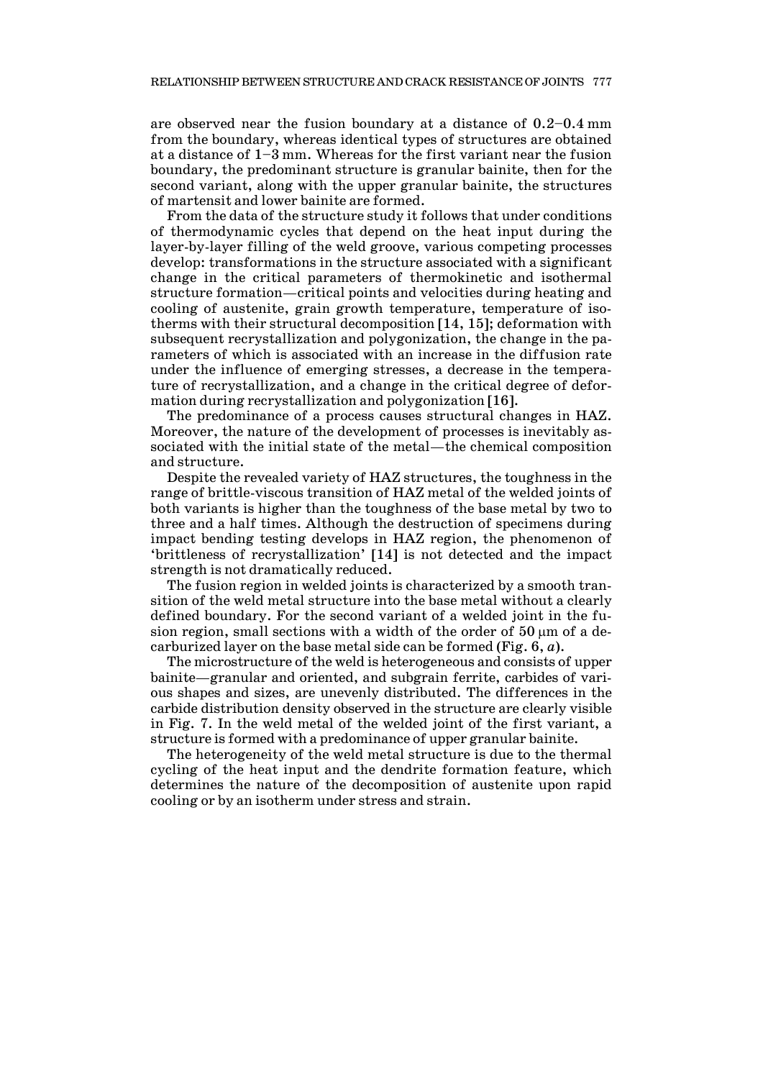are observed near the fusion boundary at a distance of 0.2–0.4 mm from the boundary, whereas identical types of structures are obtained at a distance of 1–3 mm. Whereas for the first variant near the fusion boundary, the predominant structure is granular bainite, then for the second variant, along with the upper granular bainite, the structures of martensit and lower bainite are formed.

From the data of the structure study it follows that under conditions of thermodynamic cycles that depend on the heat input during the layer-by-layer filling of the weld groove, various competing processes develop: transformations in the structure associated with a significant change in the critical parameters of thermokinetic and isothermal structure formation—critical points and velocities during heating and cooling of austenite, grain growth temperature, temperature of isotherms with their structural decomposition [14, 15]; deformation with subsequent recrystallization and polygonization, the change in the parameters of which is associated with an increase in the diffusion rate under the influence of emerging stresses, a decrease in the temperature of recrystallization, and a change in the critical degree of deformation during recrystallization and polygonization [16].

The predominance of a process causes structural changes in HAZ. Moreover, the nature of the development of processes is inevitably associated with the initial state of the metal—the chemical composition and structure.

Despite the revealed variety of HAZ structures, the toughness in the range of brittle-viscous transition of HAZ metal of the welded joints of both variants is higher than the toughness of the base metal by two to three and a half times. Although the destruction of specimens during impact bending testing develops in HAZ region, the phenomenon of 'brittleness of recrystallization' [14] is not detected and the impact strength is not dramatically reduced.

The fusion region in welded joints is characterized by a smooth transition of the weld metal structure into the base metal without a clearly defined boundary. For the second variant of a welded joint in the fusion region, small sections with a width of the order of 50  $\mu$ m of a decarburized layer on the base metal side can be formed (Fig. 6, *a*).

The microstructure of the weld is heterogeneous and consists of upper bainite—granular and oriented, and subgrain ferrite, carbides of various shapes and sizes, are unevenly distributed. The differences in the carbide distribution density observed in the structure are clearly visible in Fig. 7. In the weld metal of the welded joint of the first variant, a structure is formed with a predominance of upper granular bainite.

The heterogeneity of the weld metal structure is due to the thermal cycling of the heat input and the dendrite formation feature, which determines the nature of the decomposition of austenite upon rapid cooling or by an isotherm under stress and strain.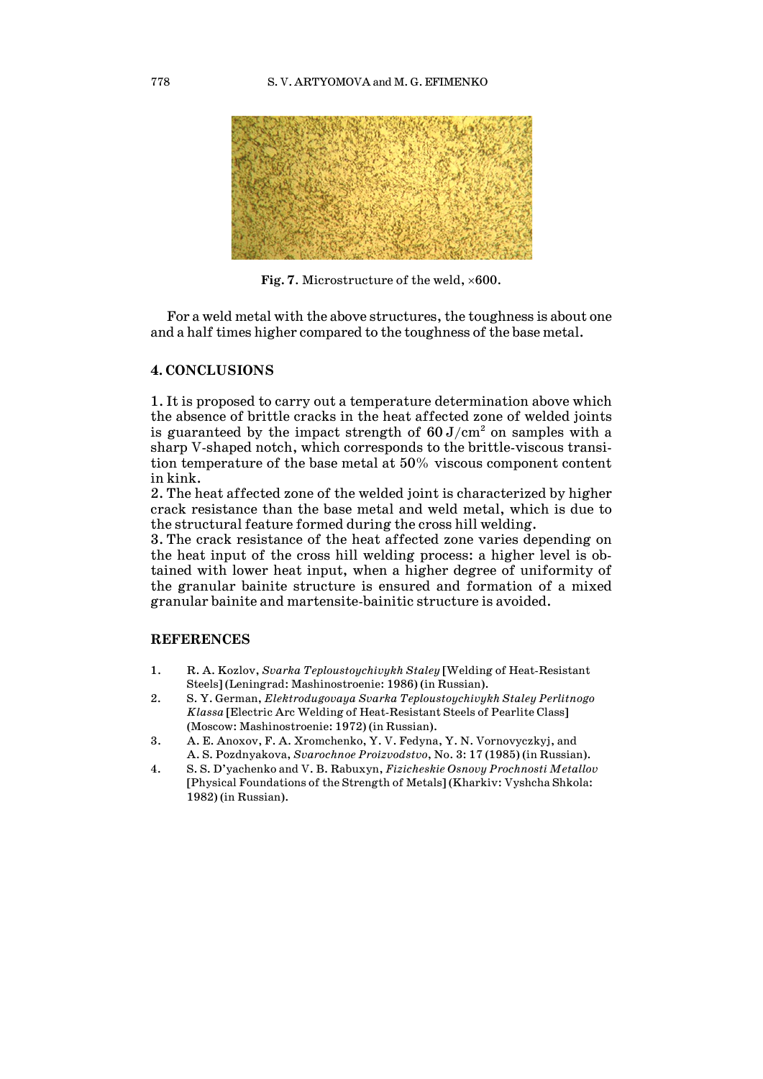

**Fig. 7**. Microstructure of the weld, ×600.

For a weld metal with the above structures, the toughness is about one and a half times higher compared to the toughness of the base metal.

# **4. CONCLUSIONS**

1. It is proposed to carry out a temperature determination above which the absence of brittle cracks in the heat affected zone of welded joints is guaranteed by the impact strength of  $60 \text{ J/cm}^2$  on samples with a sharp V-shaped notch, which corresponds to the brittle-viscous transition temperature of the base metal at 50% viscous component content in kink.

2. The heat affected zone of the welded joint is characterized by higher crack resistance than the base metal and weld metal, which is due to the structural feature formed during the cross hill welding.

3. The crack resistance of the heat affected zone varies depending on the heat input of the cross hill welding process: a higher level is obtained with lower heat input, when a higher degree of uniformity of the granular bainite structure is ensured and formation of a mixed granular bainite and martensite-bainitic structure is avoided.

# **REFERENCES**

- 1. R. A. Kozlov, *Svarka Teploustoychivykh Staley* [Welding of Heat-Resistant Steels] (Leningrad: Mashinostroenie: 1986) (in Russian).
- 2. S. Y. German, *Elektrodugovaya Svarka Teploustoychivykh Staley Perlitnogo Klassa* [Electric Arc Welding of Heat-Resistant Steels of Pearlite Class] (Moscow: Mashinostroenie: 1972) (in Russian).
- 3. A. E. Anoxov, F. A. Xromchenko, Y. V. Fedyna, Y. N. Vornovyczkyj, and A. S. Pozdnyakova, *Svarochnoe Proizvodstvo*, No. 3: 17 (1985) (in Russian).
- 4. S. S. D'yachenko and V. B. Rabuxyn, *Fizicheskie Osnovy Prochnosti Metallov* [Physical Foundations of the Strength of Metals] (Kharkiv: Vyshcha Shkola: 1982) (in Russian).